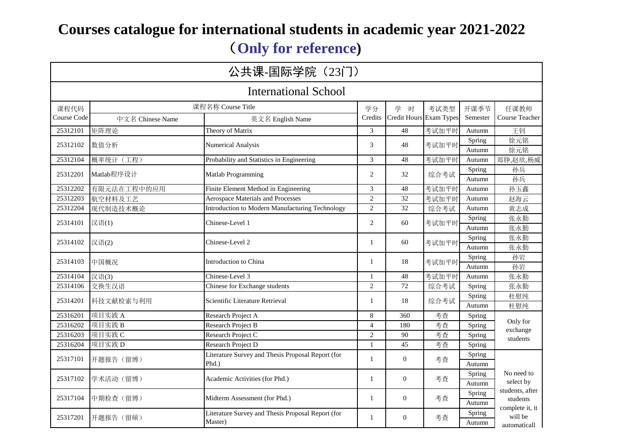# **Courses catalogue for international students in academic year 2021-2022** (**Only for reference)**

| 公共课-国际学院(23门)               |                  |                                                               |                |                         |       |                  |                                            |  |  |  |
|-----------------------------|------------------|---------------------------------------------------------------|----------------|-------------------------|-------|------------------|--------------------------------------------|--|--|--|
| <b>International School</b> |                  |                                                               |                |                         |       |                  |                                            |  |  |  |
| 课程代码                        |                  | 课程名称 Course Title                                             | 学分             | 学<br>时                  | 考试类型  | 开课季节             | 任课教师                                       |  |  |  |
| Course Code                 | 中文名 Chinese Name | 英文名 English Name                                              | Credits        | Credit Hours Exam Types |       | Semester         | Course Teacher                             |  |  |  |
| 25312101                    | 矩阵理论             | Theory of Matrix                                              | 3              | 48                      | 考试加平时 | Autumn           | 王钊                                         |  |  |  |
| 25312102                    | 数值分析             | <b>Numerical Analysis</b>                                     | 3              | 48                      | 考试加平时 | Spring<br>Autumn | 徐元铭<br>徐元铭                                 |  |  |  |
| 25312104                    | 概率统计(工程)         | Probability and Statistics in Engineering                     | 3              | 48                      | 考试加平时 | Autumn           | 郑铮,赵欣,杨威                                   |  |  |  |
| 25312201                    | Matlab程序设计       | Matlab Programming                                            | 2              | 32                      | 综合考试  | Spring<br>Autumn | 孙兵<br>孙兵                                   |  |  |  |
| 25312202                    | 有限元法在工程中的应用      | Finite Element Method in Engineering                          | 3              | 48                      | 考试加平时 | Autumn           | 孙玉鑫                                        |  |  |  |
| 25312203                    | 航空材料及工艺          | Aerospace Materials and Processes                             | $\overline{c}$ | 32                      | 考试加平时 | Autumn           | 赵海云                                        |  |  |  |
| 25312204                    | 现代制造技术概论         | Introduction to Modern Manufacturing Technology               | $\overline{2}$ | 32                      | 综合考试  | Autumn           | 黄志成                                        |  |  |  |
| 25314101                    | 汉语(1)            | Chinese-Level 1                                               | 2              | 60                      | 考试加平时 | Spring           | 张永勤                                        |  |  |  |
|                             |                  |                                                               |                |                         |       | Autumn           | 张永勤                                        |  |  |  |
| 25314102                    | 汉语(2)            | Chinese-Level 2                                               | 1              | 60                      | 考试加平时 | Spring<br>Autumn | 张永勤<br>张永勤                                 |  |  |  |
| 25314103                    | 中国概况             | Introduction to China                                         | $\mathbf{1}$   | 18                      | 考试加平时 | Spring<br>Autumn | 孙岩<br>孙岩                                   |  |  |  |
| 25314104                    | 汉语(3)            | Chinese-Level 3                                               | $\mathbf{1}$   | $\overline{48}$         | 考试加平时 | Autumn           | 张永勤                                        |  |  |  |
| 25314106                    | 交换生汉语            | Chinese for Exchange students                                 | $\overline{c}$ | 72                      | 综合考试  | Spring           | 张永勤                                        |  |  |  |
| 25314201                    | 科技文献检索与利用        | Scientific Literature Retrieval                               | 1              | 18                      | 综合考试  | Spring<br>Autumn | 杜慰纯<br>杜慰纯                                 |  |  |  |
| 25316201                    | 项目实践 A           | Research Project A                                            | 8              | 360                     | 考查    | Spring           |                                            |  |  |  |
| 25316202                    | 项目实践B            | Research Project B                                            | $\overline{4}$ | 180                     | 考查    | Spring           | Only for                                   |  |  |  |
| 25316203                    | 项目实践C            | Research Project C                                            | $\overline{c}$ | 90                      | 考查    | Spring           | exchange                                   |  |  |  |
| 25316204                    | 项目实践 D           | Research Project D                                            | $\mathbf{1}$   | 45                      | 考查    | Spring           | students                                   |  |  |  |
| 25317101                    | 开题报告 (留博)        | Literature Survey and Thesis Proposal Report (for<br>$Phd.$ ) | $\mathbf{1}$   | $\overline{0}$          | 考查    | Spring<br>Autumn |                                            |  |  |  |
| 25317102                    | 学术活动(留博)         | Academic Activities (for Phd.)                                | 1              | $\Omega$                | 考查    | Spring<br>Autumn | No need to<br>select by                    |  |  |  |
| 25317104                    | 中期检查 (留博)        | Midterm Assessment (for Phd.)                                 | $\mathbf{1}$   | $\theta$                | 考查    | Spring<br>Autumn | students, after<br>students                |  |  |  |
| 25317201                    | 开题报告 (留硕)        | Literature Survey and Thesis Proposal Report (for<br>Master)  | $\mathbf{1}$   | $\overline{0}$          | 考查    | Spring<br>Autumn | complete it, it<br>will be<br>automaticall |  |  |  |
|                             |                  |                                                               |                |                         |       |                  |                                            |  |  |  |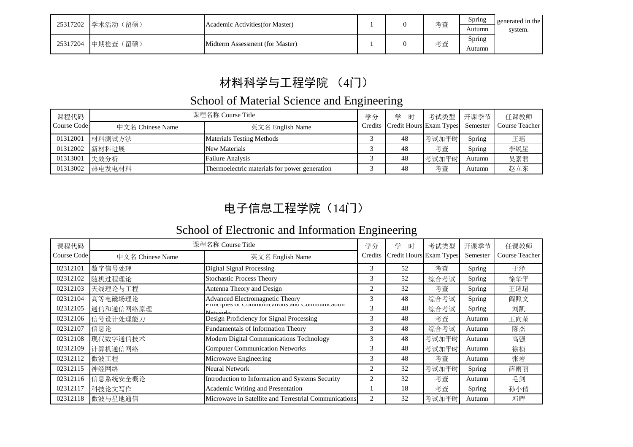| 25317202 | 学术活动<br>(留硕) | Academic Activities (for Master) |  | 考查 | Spring<br>Autumn | generated in the<br>system. |
|----------|--------------|----------------------------------|--|----|------------------|-----------------------------|
| 25317204 | 中期检查 (留硕)    | Midterm Assessment (for Master)  |  | 考查 | Spring<br>Autumn |                             |

# 材料科学与工程学院 (4门)

### School of Material Science and Engineering

| 课程代码        |                  | 课程名称 Course Title                             | 学分 | 学时                                       | 考试类型   开课季节 |               | 任课教师           |
|-------------|------------------|-----------------------------------------------|----|------------------------------------------|-------------|---------------|----------------|
| Course Code | 中文名 Chinese Name | 英文名 English Name                              |    | Credits Credit Hours Exam Types Semester |             |               | Course Teacher |
| 01312001    | 材料测试方法           | <b>Materials Testing Methods</b>              |    | 48                                       | 考试加平时       | <b>Spring</b> | 王瑶             |
| 01312002    | 新材料进展            | <b>New Materials</b>                          |    | 48                                       | 考查          | Spring        | 李锐星            |
| 01313001    | 失效分析             | <b>Failure Analysis</b>                       |    | 48                                       | 考试加平时       | Autumn        | 吴素君            |
| 01313002    | 热电发电材料           | Thermoelectric materials for power generation |    | 48                                       | 考查          | Autumn        | 赵立东            |

## 电子信息工程学院(14门)

### School of Electronic and Information Engineering

| 课程代码        |                  | 课程名称 Course Title                                                        | 学分      | 学<br>时                  | 考试类型  | 开课季节     | 任课教师           |
|-------------|------------------|--------------------------------------------------------------------------|---------|-------------------------|-------|----------|----------------|
| Course Code | 中文名 Chinese Name | 英文名 English Name                                                         | Credits | Credit Hours Exam Types |       | Semester | Course Teacher |
| 02312101    | 数字信号处理           | Digital Signal Processing                                                | 3       | 52                      | 考查    | Spring   | 于泽             |
| 02312102    | 随机过程理论           | <b>Stochastic Process Theory</b>                                         | 3       | 52                      | 综合考试  | Spring   | 徐华平            |
| 02312103    | 天线理论与工程          | Antenna Theory and Design                                                | 2       | 32                      | 考查    | Spring   | 王珺珺            |
| 02312104    | 高等电磁场理论          | Advanced Electromagnetic Theory                                          | 3       | 48                      | 综合考试  | Spring   | 阎照文            |
| 02312105    | 通信和通信网络原理        | <b>THICIDIES OF COMMUNICATIONS AND COMMUNICATION</b><br><b>N</b> otworks | 3       | 48                      | 综合考试  | Spring   | 刘凯             |
| 02312106    | 信号设计处理能力         | Design Proficiency for Signal Processing                                 | 3       | 48                      | 考查    | Autumn   | 王向荣            |
| 02312107    | 信息论              | Fundamentals of Information Theory                                       | 3       | 48                      | 综合考试  | Autumn   | 陈杰             |
| 02312108    | 现代数字通信技术         | Modern Digital Communications Technology                                 | 3       | 48                      | 考试加平时 | Autumn   | 高强             |
| 02312109    | 计算机通信网络          | <b>Computer Communication Networks</b>                                   | 3       | 48                      | 考试加平时 | Autumn   | 徐桢             |
| 02312112    | 微波工程             | Microwave Engineering                                                    | 3       | 48                      | 考查    | Autumn   | 张岩             |
| 02312115    | 神经网络             | <b>Neural Network</b>                                                    |         | 32                      | 考试加平时 | Spring   | 薛雨丽            |
| 02312116    | 信息系统安全概论         | Introduction to Information and Systems Security                         | 2       | 32                      | 考查    | Autumn   | 毛剑             |
| 02312117    | 科技论文写作           | Academic Writing and Presentation                                        |         | 18                      | 考查    | Spring   | 孙小倩            |
| 02312118    | 微波与星地通信          | Microwave in Satellite and Terrestrial Communications                    |         | 32                      | 考试加平时 | Autumn   | 邓晖             |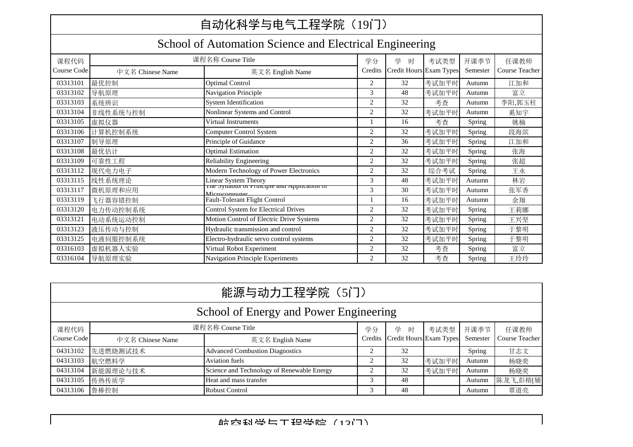## 自动化科学与电气工程学院(19门)

### School of Automation Science and Electrical Engineering

|             |                  | 课程名称 Course Title                                            |                |                         |       |               |                |
|-------------|------------------|--------------------------------------------------------------|----------------|-------------------------|-------|---------------|----------------|
| 课程代码        |                  |                                                              | 学分             | 学<br>时                  | 考试类型  | 开课季节          | 任课教师           |
| Course Code | 中文名 Chinese Name | 英文名 English Name                                             | Credits        | Credit Hours Exam Types |       | Semester      | Course Teacher |
| 03313101    | 最优控制             | <b>Optimal Control</b>                                       | 2              | 32                      | 考试加平时 | Autumn        | 江加和            |
| 03313102    | 导航原理             | Navigation Principle                                         | 3              | 48                      | 考试加平时 | Autumn        | 富立             |
| 03313103    | 系统辨识             | <b>System Identification</b>                                 | 2              | 32                      | 考查    | Autumn        | 李阳,郭玉柱         |
| 03313104    | 非线性系统与控制         | Nonlinear Systems and Control                                | 2              | 32                      | 考试加平时 | Autumn        | 奚知宇            |
| 03313105    | 虚拟仪器             | Virtual Instruments                                          |                | 16                      | 考查    | Spring        | 姚楠             |
| 03313106    | 计算机控制系统          | Computer Control System                                      | 2              | 32                      | 考试加平时 | Spring        | 段海滨            |
| 03313107    | 制导原理             | Principle of Guidance                                        | 2              | 36                      | 考试加平时 | Spring        | 江加和            |
| 03313108    | 最优估计             | <b>Optimal Estimation</b>                                    | 2              | 32                      | 考试加平时 | Spring        | 张海             |
| 03313109    | 可靠性工程            | <b>Reliability Engineering</b>                               | 2              | 32                      | 考试加平时 | Spring        | 张超             |
| 03313112    | 现代电力电子           | Modern Technology of Power Electronics                       | 2              | 32                      | 综合考试  | Spring        | 王永             |
| 03313115    | 线性系统理论           | Linear System Theory                                         | 3              | 48                      | 考试加平时 | Autumn        | 林岩             |
| 03313117    | 微机原理和应用          | The synabus of Frinciple and Application of<br>Microcomputer | 3              | 30                      | 考试加平时 | Autumn        | 张军香            |
| 03313119    | 飞行器容错控制          | Fault-Tolerant Flight Control                                |                | 16                      | 考试加平时 | Autumn        | 余翔             |
| 03313120    | 电力传动控制系统         | <b>Control System for Electrical Drives</b>                  | 2              | 32                      | 考试加平时 | Spring        | 王莉娜            |
| 03313121    | 电动系统运动控制         | Motion Control of Electric Drive Systems                     | $\overline{2}$ | 32                      | 考试加平时 | Spring        | 王兴坚            |
| 03313123    | 液压传动与控制          | Hydraulic transmission and control                           | $\overline{2}$ | 32                      | 考试加平时 | Spring        | 于黎明            |
| 03313125    | 电液伺服控制系统         | Electro-hydraulic servo control systems                      | 2              | 32                      | 考试加平时 | Spring        | 于黎明            |
| 03316103    | 虚拟机器人实验          | Virtual Robot Experiment                                     | 2              | 32                      | 考査    | <b>Spring</b> | 富立             |
| 03316104    | 导航原理实验           | Navigation Principle Experiments                             | 2              | 32                      | 考查    | Spring        | 王玲玲            |

|                                        | 能源与动力工程学院 (5门)   |                                            |  |                                 |       |          |                |  |  |  |  |
|----------------------------------------|------------------|--------------------------------------------|--|---------------------------------|-------|----------|----------------|--|--|--|--|
| School of Energy and Power Engineering |                  |                                            |  |                                 |       |          |                |  |  |  |  |
| 课程代码                                   |                  | 课程名称 Course Title                          |  | 学<br>时                          | 考试类型  | 开课季节     | 任课教师           |  |  |  |  |
| Course Code                            | 中文名 Chinese Name | 英文名 English Name                           |  | Credits Credit Hours Exam Types |       | Semester | Course Teacher |  |  |  |  |
| 04313102                               | 先进燃烧测试技术         | <b>Advanced Combustion Diagnostics</b>     |  | 32                              |       | Spring   | 甘志文            |  |  |  |  |
| 04313103                               | 航空燃料学            | Aviation fuels                             |  | 32                              | 考试加平时 | Autumn   | 杨晓奕            |  |  |  |  |
| 04313104                               | 新能源理论与技术         | Science and Technology of Renewable Energy |  | 32                              | 考试加平时 | Autumn   | 杨晓奕            |  |  |  |  |
| 04313105                               | 传热传质学            | Heat and mass transfer                     |  | 48                              |       | Autumn   | 陈龙飞,彭榕[辅]      |  |  |  |  |
| 04313106 鲁棒控制                          |                  | <b>Robust Control</b>                      |  | 48                              |       | Autumn   | 覃道亮            |  |  |  |  |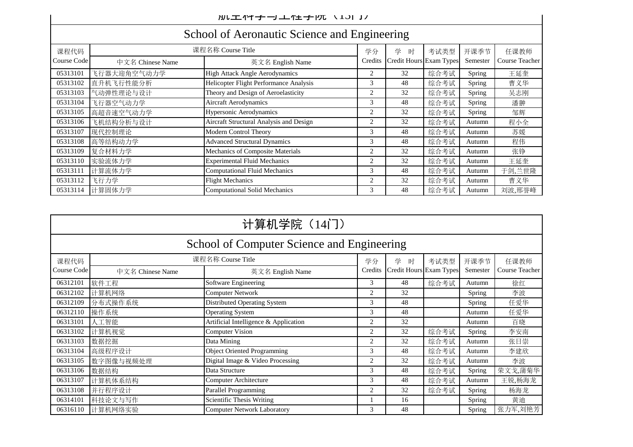|             | School of Actonautic Science and Engineering |                                         |                |                         |      |          |                |  |  |  |
|-------------|----------------------------------------------|-----------------------------------------|----------------|-------------------------|------|----------|----------------|--|--|--|
| 课程代码        |                                              | 课程名称 Course Title                       | 学分             | 学<br>时                  | 考试类型 | 开课季节     | 任课教师           |  |  |  |
| Course Code | 中文名 Chinese Name                             | 英文名 English Name                        | Credits        | Credit Hours Exam Types |      | Semester | Course Teacher |  |  |  |
| 05313101    | 飞行器大迎角空气动力学                                  | High Attack Angle Aerodynamics          | 2              | 32                      | 综合考试 | Spring   | 王延奎            |  |  |  |
| 05313102    | 直升机飞行性能分析                                    | Helicopter Flight Performance Analysis  | 3              | 48                      | 综合考试 | Spring   | 曹义华            |  |  |  |
| 05313103    | 气动弹性理论与设计                                    | Theory and Design of Aeroelasticity     | 2              | 32                      | 综合考试 | Spring   | 吴志刚            |  |  |  |
| 05313104    | 飞行器空气动力学                                     | Aircraft Aerodynamics                   | 3              | 48                      | 综合考试 | Spring   | 潘翀             |  |  |  |
| 05313105    | 高超音速空气动力学                                    | Hypersonic Aerodynamics                 | $\overline{2}$ | 32                      | 综合考试 | Spring   | 邹辉             |  |  |  |
| 05313106    | 飞机结构分析与设计                                    | Aircraft Structural Analysis and Design | 2              | 32                      | 综合考试 | Autumn   | 程小全            |  |  |  |
| 05313107    | 现代控制理论                                       | Modern Control Theory                   | 3              | 48                      | 综合考试 | Autumn   | 苏媛             |  |  |  |
| 05313108    | 高等结构动力学                                      | <b>Advanced Structural Dynamics</b>     | 3              | 48                      | 综合考试 | Autumn   | 程伟             |  |  |  |
| 05313109    | 复合材料力学                                       | Mechanics of Composite Materials        | $\overline{2}$ | 32                      | 综合考试 | Autumn   | 张铮             |  |  |  |
| 05313110    | 实验流体力学                                       | <b>Experimental Fluid Mechanics</b>     | 2              | 32                      | 综合考试 | Autumn   | 王延奎            |  |  |  |
| 05313111    | 计算流体力学                                       | <b>Computational Fluid Mechanics</b>    | 3              | 48                      | 综合考试 | Autumn   | 于剑,兰世隆         |  |  |  |
| 05313112    | 飞行力学                                         | <b>Flight Mechanics</b>                 | 2              | 32                      | 综合考试 | Autumn   | 曹义华            |  |  |  |
| 05313114    | 计算固体力学                                       | <b>Computational Solid Mechanics</b>    | 3              | 48                      | 综合考试 | Autumn   | 刘波,邢誉峰         |  |  |  |

#### School of Aeronautic Science and Engineering

|                                            | 计算机学院 (14门)      |                                       |                |                         |      |          |                |  |  |  |  |
|--------------------------------------------|------------------|---------------------------------------|----------------|-------------------------|------|----------|----------------|--|--|--|--|
| School of Computer Science and Engineering |                  |                                       |                |                         |      |          |                |  |  |  |  |
| 课程代码                                       |                  | 课程名称 Course Title                     | 学分             | 学<br>时                  | 考试类型 | 开课季节     | 任课教师           |  |  |  |  |
| Course Code                                | 中文名 Chinese Name | 英文名 English Name                      | Credits        | Credit Hours Exam Types |      | Semester | Course Teacher |  |  |  |  |
| 06312101                                   | 软件工程             | Software Engineering                  | 3              | 48                      | 综合考试 | Autumn   | 徐红             |  |  |  |  |
| 06312102                                   | 计算机网络            | Computer Network                      | 2              | 32                      |      | Spring   | 李波             |  |  |  |  |
| 06312109                                   | 分布式操作系统          | <b>Distributed Operating System</b>   | 3              | 48                      |      | Spring   | 任爱华            |  |  |  |  |
| 06312110                                   | 操作系统             | <b>Operating System</b>               | 3              | 48                      |      | Autumn   | 任爱华            |  |  |  |  |
| 06313101                                   | 人工智能             | Artificial Intelligence & Application | $\overline{2}$ | 32                      |      | Autumn   | 百晓             |  |  |  |  |
| 06313102                                   | 计算机视觉            | <b>Computer Vision</b>                | $\overline{2}$ | 32                      | 综合考试 | Spring   | 李安南            |  |  |  |  |
| 06313103                                   | 数据挖掘             | Data Mining                           | $\overline{2}$ | 32                      | 综合考试 | Autumn   | 张日崇            |  |  |  |  |
| 06313104                                   | 高级程序设计           | <b>Object Oriented Programming</b>    | 3              | 48                      | 综合考试 | Autumn   | 李建欣            |  |  |  |  |
| 06313105                                   | 数字图像与视频处理        | Digital Image & Video Processing      | $\overline{2}$ | 32                      | 综合考试 | Autumn   | 李波             |  |  |  |  |
| 06313106                                   | 数据结构             | Data Structure                        | 3              | 48                      | 综合考试 | Spring   | 荣文戈,蒲菊华        |  |  |  |  |
| 06313107                                   | 计算机体系结构          | Computer Architecture                 | 3              | 48                      | 综合考试 | Autumn   | 王锐,杨海龙         |  |  |  |  |
| 06313108                                   | 并行程序设计           | Parallel Programming                  | 2              | 32                      | 综合考试 | Spring   | 杨海龙            |  |  |  |  |
| 06314101                                   | 科技论文与写作          | Scientific Thesis Writing             |                | 16                      |      | Spring   | 黄迪             |  |  |  |  |
| 06316110                                   | 计算机网络实验          | <b>Computer Network Laboratory</b>    | 3              | 48                      |      | Spring   | 张力军,刘艳芳        |  |  |  |  |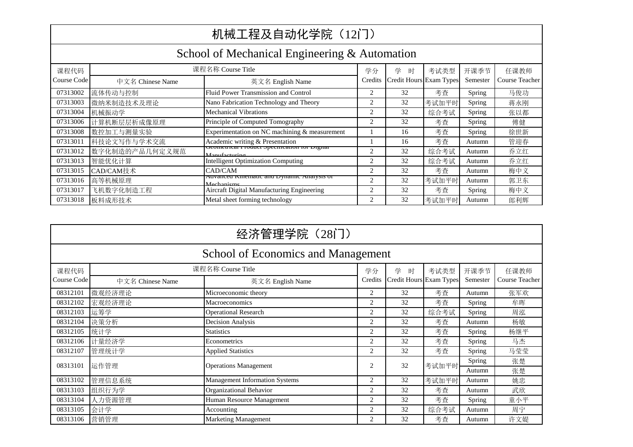|                                               | 机械工程及自动化学院 (12门) |                                                                |         |                         |       |          |                |  |  |  |  |
|-----------------------------------------------|------------------|----------------------------------------------------------------|---------|-------------------------|-------|----------|----------------|--|--|--|--|
| School of Mechanical Engineering & Automation |                  |                                                                |         |                         |       |          |                |  |  |  |  |
| 课程代码                                          |                  | 课程名称 Course Title                                              | 学分      | 学<br>时                  | 考试类型  | 开课季节     | 任课教师           |  |  |  |  |
| Course Code                                   | 中文名 Chinese Name | 英文名 English Name                                               | Credits | Credit Hours Exam Types |       | Semester | Course Teacher |  |  |  |  |
| 07313002                                      | 流体传动与控制          | Fluid Power Transmission and Control                           | 2       | 32                      | 考查    | Spring   | 马俊功            |  |  |  |  |
| 07313003                                      | 微纳米制造技术及理论       | Nano Fabrication Technology and Theory                         | 2       | 32                      | 考试加平时 | Spring   | 蒋永刚            |  |  |  |  |
| 07313004                                      | 机械振动学            | <b>Mechanical Vibrations</b>                                   | 2       | 32                      | 综合考试  | Spring   | 张以都            |  |  |  |  |
| 07313006                                      | 计算机断层层析成像原理      | Principle of Computed Tomography                               | 2       | 32                      | 考查    | Spring   | 傅健             |  |  |  |  |
| 07313008                                      | 数控加工与测量实验        | Experimentation on NC machining & measurement                  |         | 16                      | 考查    | Spring   | 徐世新            |  |  |  |  |
| 07313011                                      | 科技论文写作与学术交流      | Academic writing & Presentation                                |         | 16                      | 考查    | Autumn   | 管迎春            |  |  |  |  |
| 07313012                                      | 数字化制造的产品几何定义规范   | deometrical Froduct specification for Digital<br>Monufacturing | 2       | 32                      | 综合考试  | Autumn   | 乔立红            |  |  |  |  |
| 07313013                                      | 智能优化计算           | <b>Intelligent Optimization Computing</b>                      | 2       | 32                      | 综合考试  | Autumn   | 乔立红            |  |  |  |  |
| 07313015                                      | CAD/CAM技术        | CAD/CAM                                                        | 2       | 32                      | 考查    | Autumn   | 梅中义            |  |  |  |  |
| 07313016                                      | 高等机械原理           | Auvanceu Kinematic anu Dynamic Analysis of<br>Mechanisms       | 2       | 32                      | 考试加平时 | Autumn   | 郭卫东            |  |  |  |  |
| 07313017                                      | 飞机数字化制造工程        | Aircraft Digital Manufacturing Engineering                     | 2       | 32                      | 考查    | Spring   | 梅中义            |  |  |  |  |
| 07313018                                      | 板料成形技术           | Metal sheet forming technology                                 | 2       | 32                      | 考试加平时 | Autumn   | 郎利辉            |  |  |  |  |

|                                                           | 经济管理学院 (28门)     |                                       |                |    |                         |          |                |  |  |  |  |
|-----------------------------------------------------------|------------------|---------------------------------------|----------------|----|-------------------------|----------|----------------|--|--|--|--|
| School of Economics and Management                        |                  |                                       |                |    |                         |          |                |  |  |  |  |
| 课程名称 Course Title<br>学<br>课程代码<br>时<br>考试类型<br>开课季节<br>学分 |                  |                                       |                |    |                         |          | 任课教师           |  |  |  |  |
| Course Code                                               | 中文名 Chinese Name | 英文名 English Name                      | Credits        |    | Credit Hours Exam Types | Semester | Course Teacher |  |  |  |  |
| 08312101                                                  | 微观经济理论           | Microeconomic theory                  | 2              | 32 | 考査                      | Autumn   | 张军欢            |  |  |  |  |
| 08312102                                                  | 宏观经济理论           | Macroeconomics                        | 2              | 32 | 考查                      | Spring   | 牟晖             |  |  |  |  |
| 08312103                                                  | 运筹学              | <b>Operational Research</b>           | 2              | 32 | 综合考试                    | Spring   | 周泓             |  |  |  |  |
| 08312104                                                  | 决策分析             | Decision Analysis                     | $\overline{2}$ | 32 | 考查                      | Autumn   | 杨敏             |  |  |  |  |
| 08312105                                                  | 统计学              | <b>Statistics</b>                     | 2              | 32 | 考查                      | Spring   | 杨继平            |  |  |  |  |
| 08312106                                                  | 计量经济学            | Econometrics                          | 2              | 32 | 考查                      | Spring   | 马杰             |  |  |  |  |
| 08312107                                                  | 管理统计学            | <b>Applied Statistics</b>             | 2              | 32 | 考查                      | Spring   | 马莹莹            |  |  |  |  |
| 08313101                                                  | 运作管理             | <b>Operations Management</b>          | 2              | 32 | 考试加平时                   | Spring   | 张楚             |  |  |  |  |
|                                                           |                  |                                       |                |    |                         | Autumn   | 张楚             |  |  |  |  |
| 08313102                                                  | 管理信息系统           | <b>Management Information Systems</b> | 2              | 32 | 考试加平时                   | Autumn   | 姚忠             |  |  |  |  |
| 08313103                                                  | 组织行为学            | Organizational Behavior               | 2              | 32 | 考査                      | Autumn   | 武欣             |  |  |  |  |
| 08313104                                                  | 人力资源管理           | Human Resource Management             | 2              | 32 | 考查                      | Spring   | 童小平            |  |  |  |  |
| 08313105                                                  | 会计学              | Accounting                            | 2              | 32 | 综合考试                    | Autumn   | 周宁             |  |  |  |  |
| 08313106                                                  | 营销管理             | <b>Marketing Management</b>           | 2              | 32 | 考查                      | Autumn   | 许文媞            |  |  |  |  |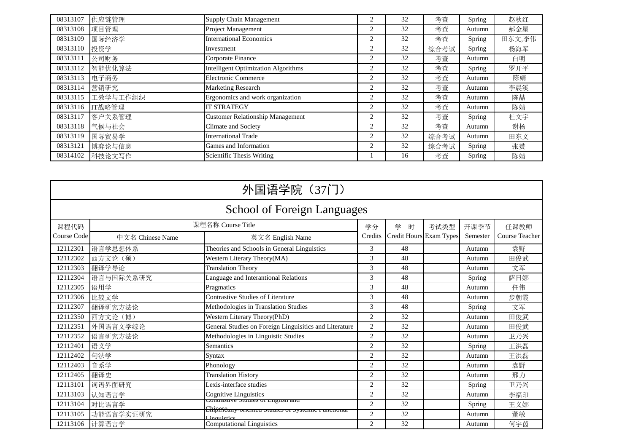| 08313107 | 供应链管理    | Supply Chain Management                    | $\mathcal{D}_{\mathcal{A}}$ | 32 | 考查   | Spring | 赵秋红    |
|----------|----------|--------------------------------------------|-----------------------------|----|------|--------|--------|
| 08313108 | 项目管理     | Project Management                         | 2                           | 32 | 考查   | Autumn | 郝金星    |
| 08313109 | 国际经济学    | <b>International Economics</b>             | 2                           | 32 | 考查   | Spring | 田东文,李伟 |
| 08313110 | 投资学      | Investment                                 | 2                           | 32 | 综合考试 | Spring | 杨海军    |
| 08313111 | 公司财务     | Corporate Finance                          | 2                           | 32 | 考查   | Autumn | 白明     |
| 08313112 | 智能优化算法   | <b>Intelligent Optimization Algorithms</b> | 2                           | 32 | 考查   | Spring | 罗开平    |
| 08313113 | 电子商务     | Electronic Commerce                        | 2                           | 32 | 考查   | Autumn | 陈婧     |
| 08313114 | 营销研究     | <b>Marketing Research</b>                  | 2                           | 32 | 考查   | Autumn | 李晨溪    |
| 08313115 | 工效学与工作组织 | Ergonomics and work organization           | 2                           | 32 | 考查   | Autumn | 陈喆     |
| 08313116 | IT战略管理   | <b>IT STRATEGY</b>                         | $\overline{c}$              | 32 | 考查   | Autumn | 陈婧     |
| 08313117 | 客户关系管理   | <b>Customer Relationship Management</b>    | 2                           | 32 | 考查   | Spring | 杜文宇    |
| 08313118 | 气候与社会    | Climate and Society                        | 2                           | 32 | 考查   | Autumn | 谢杨     |
| 08313119 | 国际贸易学    | <b>International Trade</b>                 | 2                           | 32 | 综合考试 | Autumn | 田东文    |
| 08313121 | 博弈论与信息   | Games and Information                      | $\overline{c}$              | 32 | 综合考试 | Spring | 张赞     |
| 08314102 | 科技论文写作   | Scientific Thesis Writing                  |                             | 16 | 考查   | Spring | 陈婧     |

|                                    | 外国语学院 (37门)       |                                                                  |                |                         |      |          |                |  |  |  |
|------------------------------------|-------------------|------------------------------------------------------------------|----------------|-------------------------|------|----------|----------------|--|--|--|
| <b>School of Foreign Languages</b> |                   |                                                                  |                |                         |      |          |                |  |  |  |
| 课程代码                               | 课程名称 Course Title | 学分                                                               | 学<br>时         | 考试类型                    | 开课季节 | 任课教师     |                |  |  |  |
| Course Code                        | 中文名 Chinese Name  | 英文名 English Name                                                 | Credits        | Credit Hours Exam Types |      | Semester | Course Teacher |  |  |  |
| 12112301                           | 语言学思想体系           | Theories and Schools in General Linguistics                      | 3              | 48                      |      | Autumn   | 袁野             |  |  |  |
| 12112302                           | 西方文论 (硕)          | Western Literary Theory(MA)                                      | 3              | 48                      |      | Autumn   | 田俊武            |  |  |  |
| 12112303                           | 翻译学导论             | <b>Translation Theory</b>                                        | 3              | 48                      |      | Autumn   | 文军             |  |  |  |
| 12112304                           | 语言与国际关系研究         | Language and Interantional Relations                             | 3              | 48                      |      | Spring   | 萨日娜            |  |  |  |
| 12112305                           | 语用学               | Pragmatics                                                       | 3              | 48                      |      | Autumn   | 任伟             |  |  |  |
| 12112306                           | 比较文学              | <b>Contrastive Studies of Literature</b>                         | 3              | 48                      |      | Autumn   | 步朝霞            |  |  |  |
| 12112307                           | 翻译研究方法论           | Methodologies in Translation Studies                             | 3              | 48                      |      | Spring   | 文军             |  |  |  |
| 12112350                           | 西方文论(博)           | Western Literary Theory(PhD)                                     | 2              | 32                      |      | Autumn   | 田俊武            |  |  |  |
| 12112351                           | 外国语言文学综论          | General Studies on Foreign Linguisitics and Literature           | 2              | 32                      |      | Autumn   | 田俊武            |  |  |  |
| 12112352                           | 语言研究方法论           | Methodologies in Linguistic Studies                              | 2              | 32                      |      | Autumn   | 卫乃兴            |  |  |  |
| 12112401                           | 语义学               | <b>Semantics</b>                                                 | 2              | 32                      |      | Spring   | 王洪磊            |  |  |  |
| 12112402                           | 句法学               | <b>Syntax</b>                                                    | 2              | 32                      |      | Autumn   | 王洪磊            |  |  |  |
| 12112403                           | 音系学               | Phonology                                                        | $\overline{2}$ | 32                      |      | Autumn   | 袁野             |  |  |  |
| 12112405                           | 翻译史               | <b>Translation History</b>                                       | $\overline{2}$ | 32                      |      | Autumn   | 邢力             |  |  |  |
| 12113101                           | 词语界面研究            | Lexis-interface studies                                          | 2              | 32                      |      | Spring   | 卫乃兴            |  |  |  |
| 12113103                           | 认知语言学             | <b>Cognitive Linguistics</b>                                     | 2              | 32                      |      | Autumn   | 李福印            |  |  |  |
| 12113104                           | 对比语言学             | Contrastrve Studies of English and                               | 2              | 32                      |      | Spring   | 王义娜            |  |  |  |
| 12113105                           | 功能语言学实证研究         | Ehipareany-oriented studies or systemic nunctional<br>inquistice | 2              | 32                      |      | Autumn   | 董敏             |  |  |  |
| 12113106                           | 计算语言学             | <b>Computational Linguistics</b>                                 | 2              | 32                      |      | Autumn   | 何宇茵            |  |  |  |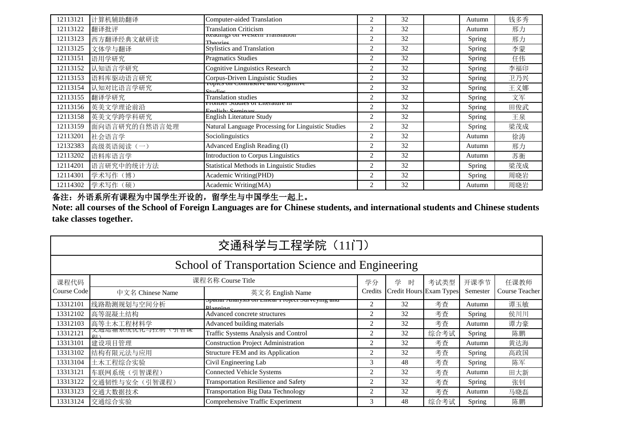| 12113121 | 计算机辅助翻译       | Computer-aided Translation                            | 2              | 32 | Autumn | 钱多秀 |
|----------|---------------|-------------------------------------------------------|----------------|----|--------|-----|
| 12113122 | 翻译批评          | <b>Translation Criticism</b>                          | 2              | 32 | Autumn | 邢力  |
| 12113123 | 西方翻译经典文献研读    | Readings on western Hansiation<br>Theoriac            | 2              | 32 | Spring | 邢力  |
| 12113125 | 文体学与翻译        | <b>Stylistics and Translation</b>                     | $\overline{2}$ | 32 | Spring | 李蒙  |
| 12113151 | 语用学研究         | <b>Pragmatics Studies</b>                             | 2              | 32 | Spring | 任伟  |
| 12113152 | 认知语言学研究       | Cognitive Linguistics Research                        | $\overline{2}$ | 32 | Spring | 李福印 |
| 12113153 | 语料库驱动语言研究     | Corpus-Driven Linguistic Studies                      | 2              | 32 | Spring | 卫乃兴 |
| 12113154 | 认知对比语言学研究     | Topics on Contrastive and Cognitive<br>Studios        | 2              | 32 | Spring | 王义娜 |
| 12113155 | 翻译学研究         | <b>Translation studies</b>                            | 2              | 32 | Spring | 文军  |
| 12113156 | 英美文学理论前沿      | cronuci studies of Literature in<br>Englich: Caminare | 2              | 32 | Spring | 田俊武 |
| 12113158 | 英美文学跨学科研究     | English Literature Study                              | 2              | 32 | Spring | 王泉  |
| 12113159 | 面向语言研究的自然语言处理 | Natural Language Processing for Linguistic Studies    | 2              | 32 | Spring | 梁茂成 |
| 12113201 | 社会语言学         | Sociolinguistics                                      | 2              | 32 | Autumn | 徐涛  |
| 12132383 | 高级英语阅读(一)     | Advanced English Reading (I)                          | $\overline{2}$ | 32 | Autumn | 邢力  |
| 12113202 | 语料库语言学        | Introduction to Corpus Linguistics                    | 2              | 32 | Autumn | 苏衡  |
| 12114201 | 语言研究中的统计方法    | <b>Statistical Methods in Linguistic Studies</b>      | 2              | 32 | Spring | 梁茂成 |
| 12114301 | 学术写作(博)       | Academic Writing(PHD)                                 | 2              | 32 | Spring | 周晓岩 |
| 12114302 | 学术写作(硕)       | Academic Writing(MA)                                  | 2              | 32 | Autumn | 周晓岩 |

备注:外语系所有课程为中国学生开设的,留学生与中国学生一起上。

**Note: all courses of the School of Foreign Languages are for Chinese students, and international students and Chinese students take classes together.**

|             | 交通科学与工程学院 (11门)                                  |                                                               |         |        |                         |          |                |  |  |  |
|-------------|--------------------------------------------------|---------------------------------------------------------------|---------|--------|-------------------------|----------|----------------|--|--|--|
|             | School of Transportation Science and Engineering |                                                               |         |        |                         |          |                |  |  |  |
| 课程代码        |                                                  | 课程名称 Course Title                                             | 学分      | 学<br>时 | 考试类型                    | 开课季节     | 任课教师           |  |  |  |
| Course Code | 中文名 Chinese Name                                 | 英文名 English Name                                              | Credits |        | Credit Hours Exam Types | Semester | Course Teacher |  |  |  |
| 13312101    | 线路勘测规划与空间分析                                      | platial Aliarysis on Enical Froject Surveying and<br>Dlanning | 2       | 32     | 考查                      | Autumn   | 谭玉敏            |  |  |  |
| 13312102    | 高等混凝土结构                                          | Advanced concrete structures                                  | 2       | 32     | 考查                      | Spring   | 侯川川            |  |  |  |
| 13312103    | 高等土木工程材料学                                        | Advanced building materials                                   | 2       | 32     | 考查                      | Autumn   | 谭力豪            |  |  |  |
| 13312121    | (火地心)  尔尔儿化刁化<br>( 引 管 )太<br>手口                  | Traffic Systems Analysis and Control                          | 2       | 32     | 综合考试                    | Spring   | 陈鹏             |  |  |  |
| 13313101    | 建设项目管理                                           | <b>Construction Project Administration</b>                    | 2       | 32     | 考查                      | Autumn   | 黄达海            |  |  |  |
| 13313102    | 结构有限元法与应用                                        | Structure FEM and its Application                             | 2       | 32     | 考査                      | Spring   | 高政国            |  |  |  |
| 13313104    | 土木工程综合实验                                         | Civil Engineering Lab                                         | 3       | 48     | 考查                      | Spring   | 陈军             |  |  |  |
| 13313121    | 车联网系统(引智课程)                                      | <b>Connected Vehicle Systems</b>                              | 2       | 32     | 考查                      | Autumn   | 田大新            |  |  |  |
| 13313122    | 交通韧性与安全(引智课程)                                    | <b>Transportation Resilience and Safety</b>                   | 2       | 32     | 考查                      | Spring   | 张钊             |  |  |  |
| 13313123    | 交通大数据技术                                          | <b>Transportation Big Data Technology</b>                     | 2       | 32     | 考查                      | Autumn   | 马晓磊            |  |  |  |
| 13313124    | 交通综合实验                                           | Comprehensive Traffic Experiment                              | 3       | 48     | 综合考试                    | Spring   | 陈鹏             |  |  |  |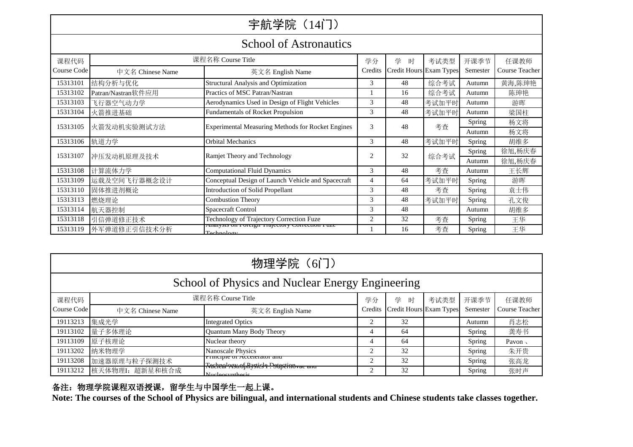# 宇航学院 (14门)

#### School of Astronautics

|             | DUNUU UI TYYN UNUUNUU                      |                                                              |                |                         |       |          |                |  |  |  |  |
|-------------|--------------------------------------------|--------------------------------------------------------------|----------------|-------------------------|-------|----------|----------------|--|--|--|--|
| 课程代码        |                                            | 课程名称 Course Title                                            | 学分             | 学<br>时                  | 考试类型  | 开课季节     | 任课教师           |  |  |  |  |
| Course Code | 中文名 Chinese Name                           | 英文名 English Name                                             | Credits        | Credit Hours Exam Types |       | Semester | Course Teacher |  |  |  |  |
| 15313101    | 结构分析与优化                                    | <b>Structural Analysis and Optimization</b>                  | 3              | 48                      | 综合考试  | Autumn   | 黄海,陈珅艳         |  |  |  |  |
| 15313102    | Patran/Nastran软件应用                         | Practics of MSC Patran/Nastran                               |                | 16                      | 综合考试  | Autumn   | 陈珅艳            |  |  |  |  |
| 15313103    | 飞行器空气动力学                                   | Aerodynamics Used in Design of Flight Vehicles               | 3              | 48                      | 考试加平时 | Autumn   | 游晖             |  |  |  |  |
| 15313104    | 火箭推进基础                                     | <b>Fundamentals of Rocket Propulsion</b>                     | 3              | 48                      | 考试加平时 | Autumn   | 梁国柱            |  |  |  |  |
| 15313105    | 火箭发动机实验测试方法                                | Experimental Measuring Methods for Rocket Engines            | 3              | 48                      | 考查    | Spring   | 杨文将            |  |  |  |  |
|             |                                            |                                                              |                |                         |       | Autumn   | 杨文将            |  |  |  |  |
| 15313106    | 轨道力学                                       | <b>Orbital Mechanics</b>                                     | 3              | 48                      | 考试加平时 | Spring   | 胡维多            |  |  |  |  |
| 15313107    | 冲压发动机原理及技术<br>Ramjet Theory and Technology |                                                              | $\overline{c}$ | 32                      | 综合考试  | Spring   | 徐旭,杨庆春         |  |  |  |  |
|             |                                            |                                                              |                |                         |       | Autumn   | 徐旭,杨庆春         |  |  |  |  |
| 15313108    | 计算流体力学                                     | <b>Computational Fluid Dynamics</b>                          | 3              | 48                      | 考查    | Autumn   | 王长辉            |  |  |  |  |
| 15313109    | 运载及空间飞行器概念设计                               | Conceptual Design of Launch Vehicle and Spacecraft           | 4              | 64                      | 考试加平时 | Spring   | 游晖             |  |  |  |  |
| 15313110    | 固体推进剂概论                                    | <b>Introduction of Solid Propellant</b>                      | 3              | 48                      | 考查    | Spring   | 袁士伟            |  |  |  |  |
| 15313113    | 燃烧理论                                       | <b>Combustion Theory</b>                                     | 3              | 48                      | 考试加平时 | Spring   | 孔文俊            |  |  |  |  |
| 15313114    | 航天器控制                                      | Spacecraft Control                                           | 3              | 48                      |       | Autumn   | 胡维多            |  |  |  |  |
| 15313118    | 引信弹道修正技术                                   | Technology of Trajectory Correction Fuze                     | $\overline{c}$ | 32                      | 考查    | Spring   | 王华             |  |  |  |  |
| 15313119    | 外军弹道修正引信技术分析                               | Anarysis on roteign Trajectory Correction ruze<br>Technology |                | 16                      | 考查    | Spring   | 王华             |  |  |  |  |

| 物理学院 (6门)                                        |                   |                                                                                     |                |                         |      |          |                |  |  |
|--------------------------------------------------|-------------------|-------------------------------------------------------------------------------------|----------------|-------------------------|------|----------|----------------|--|--|
| School of Physics and Nuclear Energy Engineering |                   |                                                                                     |                |                         |      |          |                |  |  |
| 课程代码                                             | 课程名称 Course Title |                                                                                     |                | 学<br>时                  | 考试类型 | 开课季节     | 任课教师           |  |  |
| Course Code                                      | 中文名 Chinese Name  | 英文名 English Name                                                                    | Credits        | Credit Hours Exam Types |      | Semester | Course Teacher |  |  |
| 19113213                                         | 集成光学              | <b>Integrated Optics</b>                                                            | 2              | 32                      |      | Autumn   | 肖志松            |  |  |
| 19113102                                         | 量子多体理论            | Quantum Many Body Theory                                                            | 4              | 64                      |      | Spring   | 龚寿书            |  |  |
| 19113109                                         | 原子核理论             | Nuclear theory                                                                      | 4              | 64                      |      | Spring   | Pavon,         |  |  |
| 19113202                                         | 纳米物理学             | Nanoscale Physics                                                                   | $\mathfrak{D}$ | 32                      |      | Spring   | 朱开贵            |  |  |
| 19113208                                         | 加速器原理与粒子探测技术      | r inicipie of Accelerator and<br><b>Racheal Astrof Rystick 1 Pstagetino vac and</b> |                | 32                      |      | Spring   | 张高龙            |  |  |
| 19113212                                         | 核天体物理I: 超新星和核合成   | <b><i><u>Mucleosynthesis</u></i></b>                                                | 2              | 32                      |      | Spring   | 张时声            |  |  |

#### 备注:物理学院课程双语授课,留学生与中国学生一起上课。

**Note: The courses of the School of Physics are bilingual, and international students and Chinese students take classes together.**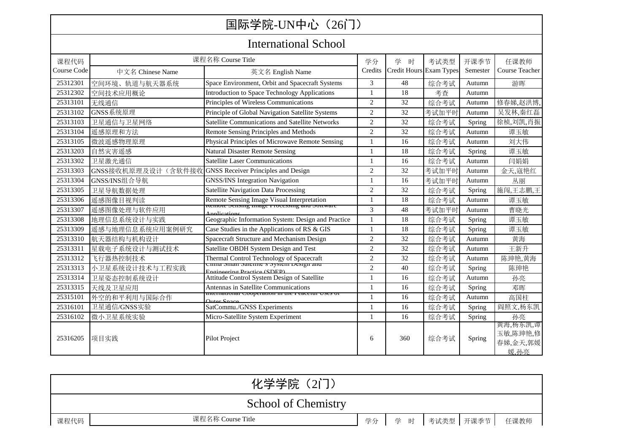| 国际学院-UN中心 (26门)             |                                                        |                                                                                                   |                |                         |       |          |                                          |  |  |
|-----------------------------|--------------------------------------------------------|---------------------------------------------------------------------------------------------------|----------------|-------------------------|-------|----------|------------------------------------------|--|--|
| <b>International School</b> |                                                        |                                                                                                   |                |                         |       |          |                                          |  |  |
| 课程代码                        |                                                        | 课程名称 Course Title                                                                                 | 学分             | 学<br>时                  | 考试类型  | 开课季节     | 任课教师                                     |  |  |
| Course Code                 | 中文名 Chinese Name                                       | 英文名 English Name                                                                                  | Credits        | Credit Hours Exam Types |       | Semester | Course Teacher                           |  |  |
| 25312301                    | 空间环境、轨道与航天器系统                                          | Space Environment, Orbit and Spacecraft Systems                                                   | 3              | 48                      | 综合考试  | Autumn   | 游晖                                       |  |  |
| 25312302                    | 空间技术应用概论                                               | Introduction to Space Technology Applications                                                     | $\mathbf{1}$   | 18                      | 考查    | Autumn   |                                          |  |  |
| 25313101                    | 无线通信                                                   | Principles of Wireless Communications                                                             | $\overline{c}$ | 32                      | 综合考试  | Autumn   | 修春娣,赵洪博,                                 |  |  |
| 25313102                    | GNSS系统原理                                               | Principle of Global Navigation Satellite Systems                                                  | $\overline{c}$ | 32                      | 考试加平时 | Autumn   | 吴发林,秦红磊                                  |  |  |
| 25313103                    | 卫星通信与卫星网络                                              | Satellite Communications and Satellite Networks                                                   | $\overline{2}$ | 32                      | 综合考试  | Spring   | 徐桢,刘凯,肖振                                 |  |  |
| 25313104                    | 遥感原理和方法                                                | Remote Sensing Principles and Methods                                                             | $\overline{2}$ | 32                      | 综合考试  | Autumn   | 谭玉敏                                      |  |  |
| 25313105                    | 微波遥感物理原理                                               | Physical Principles of Microwave Remote Sensing                                                   | 1              | 16                      | 综合考试  | Autumn   | 刘大伟                                      |  |  |
| 25313203                    | 自然灾害遥感                                                 | <b>Natural Disaster Remote Sensing</b>                                                            | $\mathbf{1}$   | 18                      | 综合考试  | Spring   | 谭玉敏                                      |  |  |
| 25313302                    | 卫星激光通信                                                 | <b>Satellite Laser Communications</b>                                                             | $\mathbf{1}$   | 16                      | 综合考试  | Autumn   | 闫娟娟                                      |  |  |
| 25313303                    | GNSS接收机原理及设计(含软件接收 GNSS Receiver Principles and Design |                                                                                                   | $\overline{2}$ | 32                      | 考试加平时 | Autumn   | 金天,寇艳红                                   |  |  |
| 25313304                    | GNSS/INS组合导航                                           | <b>GNSS/INS Integration Navigation</b>                                                            | $\mathbf{1}$   | 16                      | 考试加平时 | Autumn   | 丛丽                                       |  |  |
| 25313305                    | 卫星导航数据处理                                               | <b>Satellite Navigation Data Processing</b>                                                       | $\overline{c}$ | 32                      | 综合考试  | Spring   | 施闯,王志鹏,王                                 |  |  |
| 25313306                    | 遥感图像目视判读                                               | Remote Sensing Image Visual Interpretation<br><b>Remote Sensing image Frocessing and Sortware</b> |                | 18                      | 综合考试  | Autumn   | 谭玉敏                                      |  |  |
| 25313307                    | 遥感图像处理与软件应用                                            |                                                                                                   | 3              | 48                      | 考试加平时 | Autumn   | 曹晓光                                      |  |  |
| 25313308                    | 地理信息系统设计与实践                                            | Geographic Information System: Design and Practice                                                |                | 18                      | 综合考试  | Spring   | 谭玉敏                                      |  |  |
| 25313309                    | 遥感与地理信息系统应用案例研究                                        | Case Studies in the Applications of RS & GIS                                                      | $\mathbf{1}$   | 18                      | 综合考试  | Spring   | 谭玉敏                                      |  |  |
| 25313310                    | 航天器结构与机构设计                                             | Spacecraft Structure and Mechanism Design                                                         | $\overline{c}$ | 32                      | 综合考试  | Autumn   | 黄海                                       |  |  |
| 25313311                    | 星载电子系统设计与测试技术                                          | Satellite OBDH System Design and Test                                                             | $\overline{2}$ | 32                      | 综合考试  | Autumn   | 王新升                                      |  |  |
| 25313312                    | 飞行器热控制技术                                               | Thermal Control Technology of Spacecraft<br>Cunna Sman Satemet S System Design and                | $\overline{2}$ | 32                      | 综合考试  | Autumn   | 陈珅艳,黄海                                   |  |  |
| 25313313                    | 小卫星系统设计技术与工程实践                                         | Engineering Dractice (SDED)                                                                       | $\overline{c}$ | 40                      | 综合考试  | Spring   | 陈珅艳                                      |  |  |
| 25313314                    | 卫星姿态控制系统设计                                             | Attitude Control System Design of Satellite                                                       | $\mathbf{1}$   | 16                      | 综合考试  | Autumn   | 孙亮                                       |  |  |
| 25313315                    | 天线及卫星应用                                                | Antennas in Satellite Communications                                                              |                | 16                      | 综合考试  | Spring   | 邓晖                                       |  |  |
| 25315101                    | 外空的和平利用与国际合作                                           | miernational Cooperation in the reacerur Oses o<br>Jutor Space                                    | -1             | 16                      | 综合考试  | Autumn   | 高国柱                                      |  |  |
| 25316101                    | 卫星通信/GNSS实验                                            | SatCommu./GNSS Experiments                                                                        | $\mathbf{1}$   | 16                      | 综合考试  | Spring   | 阎照文,杨东凯                                  |  |  |
| 25316102                    | 微小卫星系统实验                                               | Micro-Satellite System Experiment                                                                 | $\mathbf{1}$   | 16                      | 综合考试  | Spring   | 孙亮                                       |  |  |
| 25316205                    | 项目实践                                                   | <b>Pilot Project</b>                                                                              | 6              | 360                     | 综合考试  | Spring   | 黄海,杨东凯,谭<br>玉敏,陈珅艳,修<br>春娣,金天,郭媛<br>媛.孙亮 |  |  |

| 化学学院 (2门)           |                   |  |                        |  |  |      |  |  |
|---------------------|-------------------|--|------------------------|--|--|------|--|--|
| School of Chemistry |                   |  |                        |  |  |      |  |  |
| 课程代码                | 课程名称 Course Title |  | 学分   学 时   考试类型   开课季节 |  |  | 任课教师 |  |  |